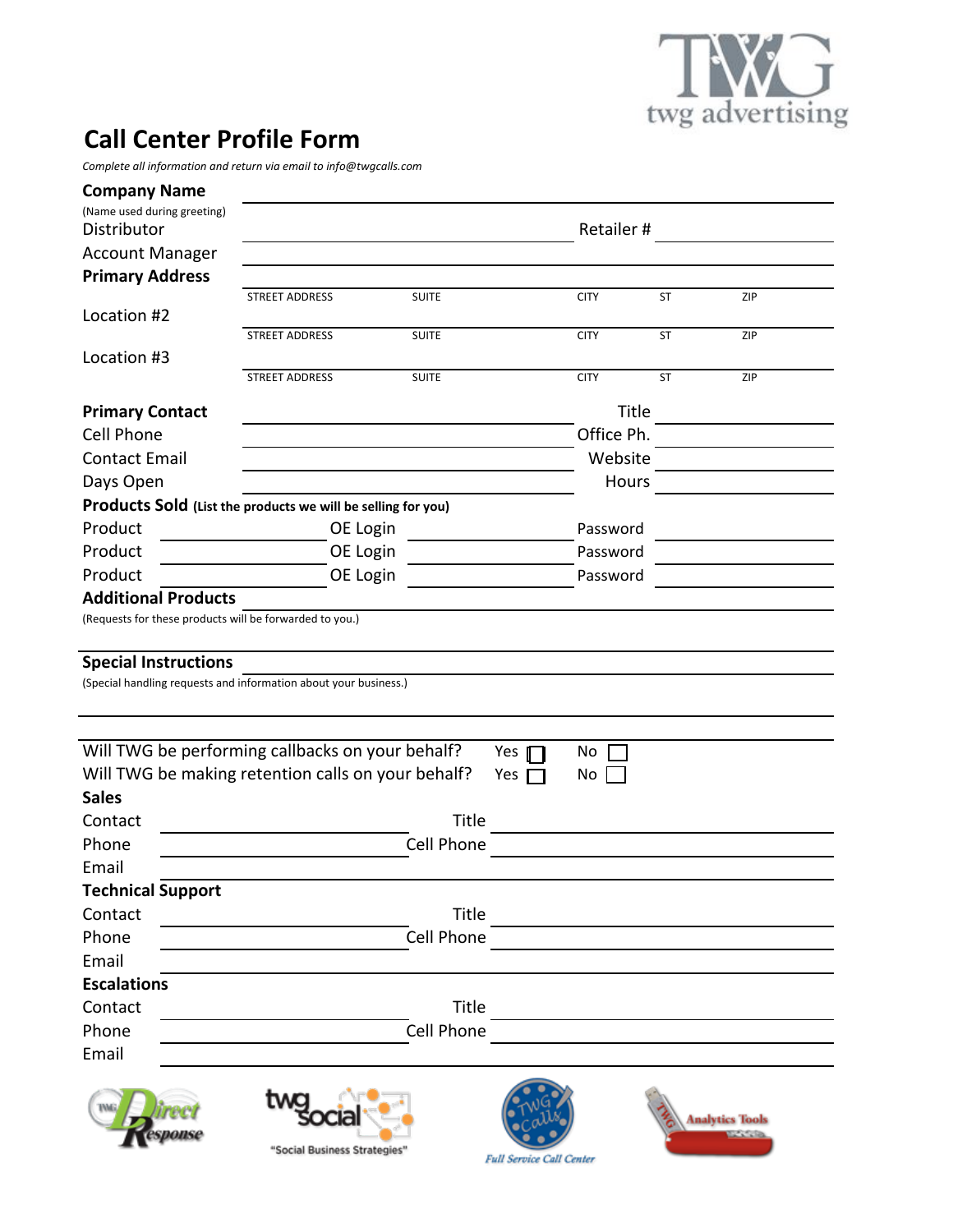

## **Call Center Profile Form**

*Complete(all(information(and(return(via(email(to(info@twgcalls.com*

| <b>Company Name</b>                                              |                              |                   |                                 |             |           |                        |  |  |  |
|------------------------------------------------------------------|------------------------------|-------------------|---------------------------------|-------------|-----------|------------------------|--|--|--|
| (Name used during greeting)                                      |                              |                   |                                 |             |           |                        |  |  |  |
| Distributor                                                      |                              |                   | Retailer#                       |             |           |                        |  |  |  |
| <b>Account Manager</b>                                           |                              |                   |                                 |             |           |                        |  |  |  |
| <b>Primary Address</b>                                           | <b>STREET ADDRESS</b>        | <b>SUITE</b>      |                                 | <b>CITY</b> | ST        | ZIP                    |  |  |  |
| Location #2                                                      |                              |                   |                                 |             |           |                        |  |  |  |
|                                                                  | <b>STREET ADDRESS</b>        | <b>SUITE</b>      |                                 | <b>CITY</b> | <b>ST</b> | ZIP                    |  |  |  |
| Location #3                                                      |                              |                   |                                 |             |           |                        |  |  |  |
|                                                                  | <b>STREET ADDRESS</b>        | <b>SUITE</b>      |                                 | <b>CITY</b> | <b>ST</b> | ZIP                    |  |  |  |
| <b>Primary Contact</b>                                           |                              |                   |                                 | Title       |           |                        |  |  |  |
| <b>Cell Phone</b>                                                |                              |                   |                                 | Office Ph.  |           |                        |  |  |  |
| <b>Contact Email</b>                                             |                              |                   |                                 | Website     |           |                        |  |  |  |
| Days Open                                                        |                              |                   |                                 | Hours       |           |                        |  |  |  |
| Products Sold (List the products we will be selling for you)     |                              |                   |                                 |             |           |                        |  |  |  |
| Product                                                          | OE Login                     |                   |                                 | Password    |           |                        |  |  |  |
| Product                                                          | OE Login                     |                   |                                 | Password    |           |                        |  |  |  |
| Product                                                          | OE Login                     |                   |                                 | Password    |           |                        |  |  |  |
| <b>Additional Products</b>                                       |                              |                   |                                 |             |           |                        |  |  |  |
| (Requests for these products will be forwarded to you.)          |                              |                   |                                 |             |           |                        |  |  |  |
|                                                                  |                              |                   |                                 |             |           |                        |  |  |  |
| <b>Special Instructions</b>                                      |                              |                   |                                 |             |           |                        |  |  |  |
| (Special handling requests and information about your business.) |                              |                   |                                 |             |           |                        |  |  |  |
|                                                                  |                              |                   |                                 |             |           |                        |  |  |  |
|                                                                  |                              |                   |                                 |             |           |                        |  |  |  |
| Will TWG be performing callbacks on your behalf?                 |                              |                   | Yes                             | No          |           |                        |  |  |  |
| Will TWG be making retention calls on your behalf?               |                              |                   | Yes $\Box$                      | No          |           |                        |  |  |  |
| <b>Sales</b>                                                     |                              |                   |                                 |             |           |                        |  |  |  |
| Contact                                                          | Title                        |                   |                                 |             |           |                        |  |  |  |
| Phone                                                            |                              | Cell Phone        |                                 |             |           |                        |  |  |  |
| Email                                                            |                              |                   |                                 |             |           |                        |  |  |  |
| <b>Technical Support</b>                                         |                              |                   |                                 |             |           |                        |  |  |  |
| Contact                                                          |                              | Title             |                                 |             |           |                        |  |  |  |
| Phone                                                            |                              | <b>Cell Phone</b> |                                 |             |           |                        |  |  |  |
| Email                                                            |                              |                   |                                 |             |           |                        |  |  |  |
| <b>Escalations</b>                                               |                              |                   |                                 |             |           |                        |  |  |  |
| Contact                                                          |                              | Title             |                                 |             |           |                        |  |  |  |
| Phone                                                            |                              | <b>Cell Phone</b> |                                 |             |           |                        |  |  |  |
| Email                                                            |                              |                   |                                 |             |           |                        |  |  |  |
|                                                                  |                              |                   |                                 |             |           |                        |  |  |  |
|                                                                  |                              |                   |                                 |             |           | <b>Analytics Tools</b> |  |  |  |
|                                                                  |                              |                   |                                 |             |           |                        |  |  |  |
|                                                                  | "Social Business Strategies' |                   | <b>Full Service Call Center</b> |             |           |                        |  |  |  |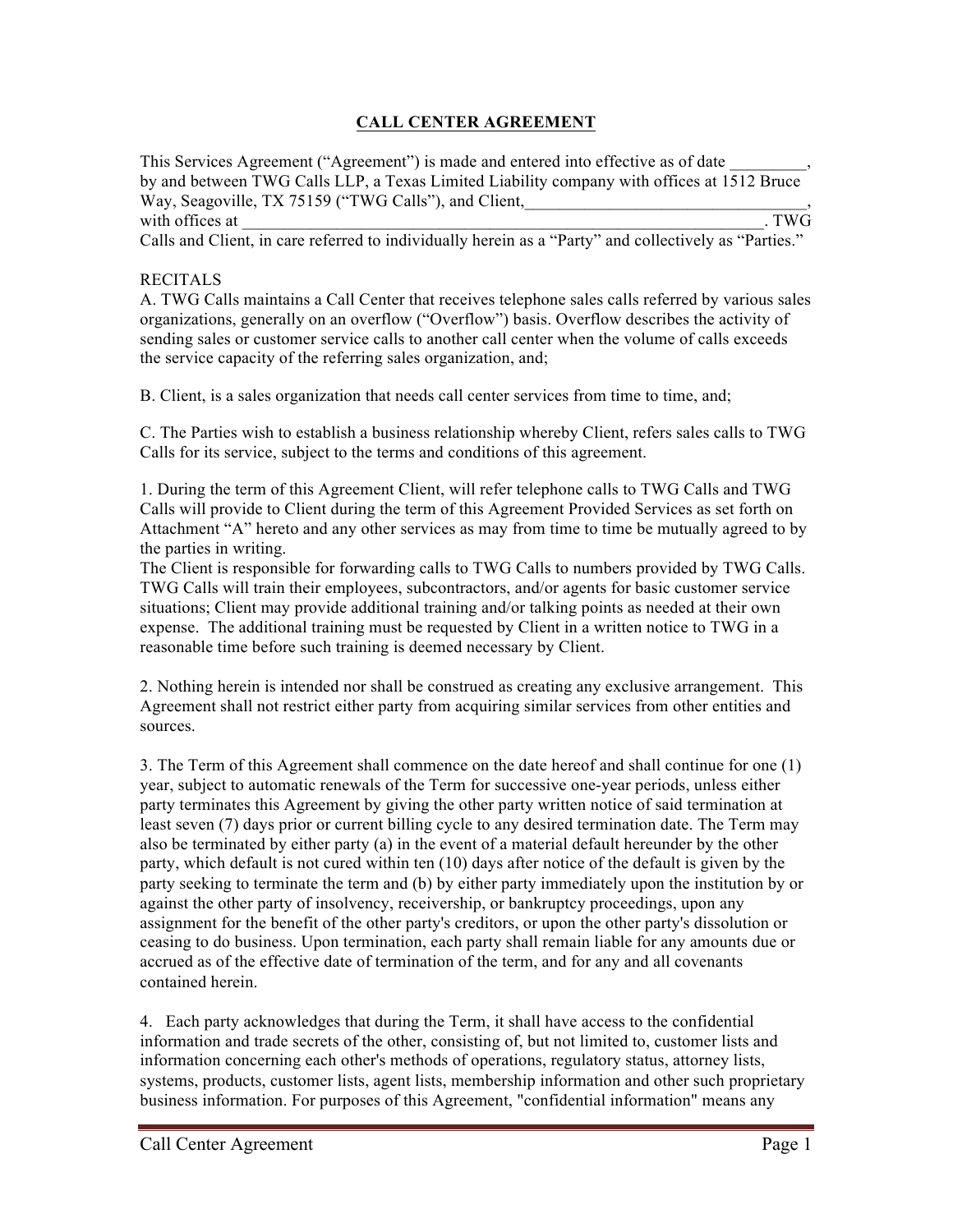## **CALL CENTER AGREEMENT**

This Services Agreement ("Agreement") is made and entered into effective as of date \_\_\_\_\_\_\_\_\_, by and between TWG Calls LLP, a Texas Limited Liability company with offices at 1512 Bruce Way, Seagoville, TX 75159 ("TWG Calls"), and Client, with offices at  $\Box$ Calls and Client, in care referred to individually herein as a "Party" and collectively as "Parties."

## RECITALS

A. TWG Calls maintains a Call Center that receives telephone sales calls referred by various sales organizations, generally on an overflow ("Overflow") basis. Overflow describes the activity of sending sales or customer service calls to another call center when the volume of calls exceeds the service capacity of the referring sales organization, and;

B. Client, is a sales organization that needs call center services from time to time, and;

C. The Parties wish to establish a business relationship whereby Client, refers sales calls to TWG Calls for its service, subject to the terms and conditions of this agreement.

1. During the term of this Agreement Client, will refer telephone calls to TWG Calls and TWG Calls will provide to Client during the term of this Agreement Provided Services as set forth on Attachment "A" hereto and any other services as may from time to time be mutually agreed to by the parties in writing.

The Client is responsible for forwarding calls to TWG Calls to numbers provided by TWG Calls. TWG Calls will train their employees, subcontractors, and/or agents for basic customer service situations; Client may provide additional training and/or talking points as needed at their own expense. The additional training must be requested by Client in a written notice to TWG in a reasonable time before such training is deemed necessary by Client.

2. Nothing herein is intended nor shall be construed as creating any exclusive arrangement. This Agreement shall not restrict either party from acquiring similar services from other entities and sources.

3. The Term of this Agreement shall commence on the date hereof and shall continue for one (1) year, subject to automatic renewals of the Term for successive one-year periods, unless either party terminates this Agreement by giving the other party written notice of said termination at least seven (7) days prior or current billing cycle to any desired termination date. The Term may also be terminated by either party (a) in the event of a material default hereunder by the other party, which default is not cured within ten (10) days after notice of the default is given by the party seeking to terminate the term and (b) by either party immediately upon the institution by or against the other party of insolvency, receivership, or bankruptcy proceedings, upon any assignment for the benefit of the other party's creditors, or upon the other party's dissolution or ceasing to do business. Upon termination, each party shall remain liable for any amounts due or accrued as of the effective date of termination of the term, and for any and all covenants contained herein.

4. Each party acknowledges that during the Term, it shall have access to the confidential information and trade secrets of the other, consisting of, but not limited to, customer lists and information concerning each other's methods of operations, regulatory status, attorney lists, systems, products, customer lists, agent lists, membership information and other such proprietary business information. For purposes of this Agreement, "confidential information" means any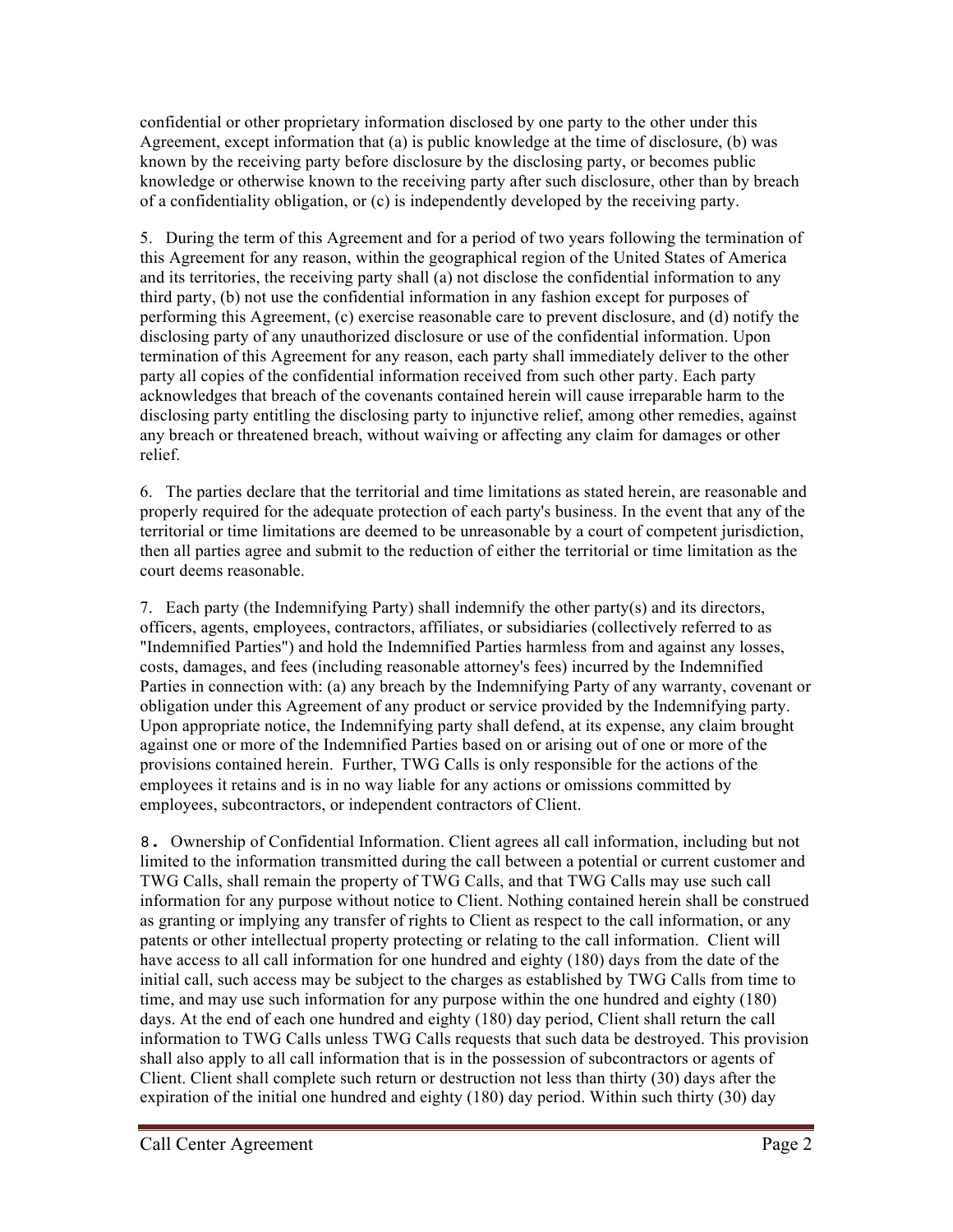confidential or other proprietary information disclosed by one party to the other under this Agreement, except information that (a) is public knowledge at the time of disclosure, (b) was known by the receiving party before disclosure by the disclosing party, or becomes public knowledge or otherwise known to the receiving party after such disclosure, other than by breach of a confidentiality obligation, or (c) is independently developed by the receiving party.

5. During the term of this Agreement and for a period of two years following the termination of this Agreement for any reason, within the geographical region of the United States of America and its territories, the receiving party shall (a) not disclose the confidential information to any third party, (b) not use the confidential information in any fashion except for purposes of performing this Agreement, (c) exercise reasonable care to prevent disclosure, and (d) notify the disclosing party of any unauthorized disclosure or use of the confidential information. Upon termination of this Agreement for any reason, each party shall immediately deliver to the other party all copies of the confidential information received from such other party. Each party acknowledges that breach of the covenants contained herein will cause irreparable harm to the disclosing party entitling the disclosing party to injunctive relief, among other remedies, against any breach or threatened breach, without waiving or affecting any claim for damages or other relief.

6. The parties declare that the territorial and time limitations as stated herein, are reasonable and properly required for the adequate protection of each party's business. In the event that any of the territorial or time limitations are deemed to be unreasonable by a court of competent jurisdiction, then all parties agree and submit to the reduction of either the territorial or time limitation as the court deems reasonable.

7. Each party (the Indemnifying Party) shall indemnify the other party(s) and its directors, officers, agents, employees, contractors, affiliates, or subsidiaries (collectively referred to as "Indemnified Parties") and hold the Indemnified Parties harmless from and against any losses, costs, damages, and fees (including reasonable attorney's fees) incurred by the Indemnified Parties in connection with: (a) any breach by the Indemnifying Party of any warranty, covenant or obligation under this Agreement of any product or service provided by the Indemnifying party. Upon appropriate notice, the Indemnifying party shall defend, at its expense, any claim brought against one or more of the Indemnified Parties based on or arising out of one or more of the provisions contained herein. Further, TWG Calls is only responsible for the actions of the employees it retains and is in no way liable for any actions or omissions committed by employees, subcontractors, or independent contractors of Client.

8. Ownership of Confidential Information. Client agrees all call information, including but not limited to the information transmitted during the call between a potential or current customer and TWG Calls, shall remain the property of TWG Calls, and that TWG Calls may use such call information for any purpose without notice to Client. Nothing contained herein shall be construed as granting or implying any transfer of rights to Client as respect to the call information, or any patents or other intellectual property protecting or relating to the call information. Client will have access to all call information for one hundred and eighty (180) days from the date of the initial call, such access may be subject to the charges as established by TWG Calls from time to time, and may use such information for any purpose within the one hundred and eighty (180) days. At the end of each one hundred and eighty (180) day period, Client shall return the call information to TWG Calls unless TWG Calls requests that such data be destroyed. This provision shall also apply to all call information that is in the possession of subcontractors or agents of Client. Client shall complete such return or destruction not less than thirty (30) days after the expiration of the initial one hundred and eighty (180) day period. Within such thirty (30) day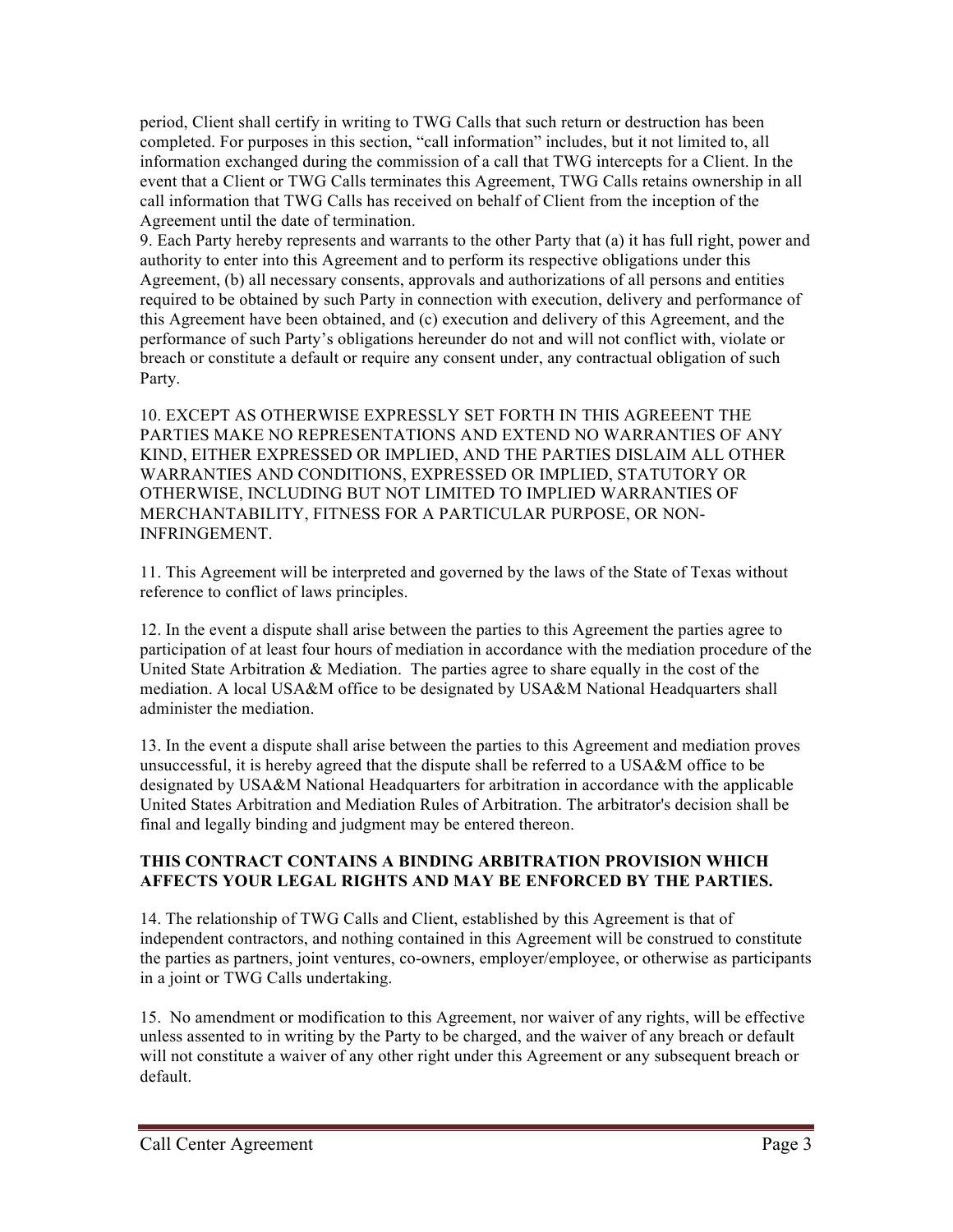period, Client shall certify in writing to TWG Calls that such return or destruction has been completed. For purposes in this section, "call information" includes, but it not limited to, all information exchanged during the commission of a call that TWG intercepts for a Client. In the event that a Client or TWG Calls terminates this Agreement, TWG Calls retains ownership in all call information that TWG Calls has received on behalf of Client from the inception of the Agreement until the date of termination.

9. Each Party hereby represents and warrants to the other Party that (a) it has full right, power and authority to enter into this Agreement and to perform its respective obligations under this Agreement, (b) all necessary consents, approvals and authorizations of all persons and entities required to be obtained by such Party in connection with execution, delivery and performance of this Agreement have been obtained, and (c) execution and delivery of this Agreement, and the performance of such Party's obligations hereunder do not and will not conflict with, violate or breach or constitute a default or require any consent under, any contractual obligation of such Party.

10. EXCEPT AS OTHERWISE EXPRESSLY SET FORTH IN THIS AGREEENT THE PARTIES MAKE NO REPRESENTATIONS AND EXTEND NO WARRANTIES OF ANY KIND, EITHER EXPRESSED OR IMPLIED, AND THE PARTIES DISLAIM ALL OTHER WARRANTIES AND CONDITIONS, EXPRESSED OR IMPLIED, STATUTORY OR OTHERWISE, INCLUDING BUT NOT LIMITED TO IMPLIED WARRANTIES OF MERCHANTABILITY, FITNESS FOR A PARTICULAR PURPOSE, OR NON-INFRINGEMENT.

11. This Agreement will be interpreted and governed by the laws of the State of Texas without reference to conflict of laws principles.

12. In the event a dispute shall arise between the parties to this Agreement the parties agree to participation of at least four hours of mediation in accordance with the mediation procedure of the United State Arbitration & Mediation. The parties agree to share equally in the cost of the mediation. A local USA&M office to be designated by USA&M National Headquarters shall administer the mediation.

13. In the event a dispute shall arise between the parties to this Agreement and mediation proves unsuccessful, it is hereby agreed that the dispute shall be referred to a USA&M office to be designated by USA&M National Headquarters for arbitration in accordance with the applicable United States Arbitration and Mediation Rules of Arbitration. The arbitrator's decision shall be final and legally binding and judgment may be entered thereon.

## **THIS CONTRACT CONTAINS A BINDING ARBITRATION PROVISION WHICH AFFECTS YOUR LEGAL RIGHTS AND MAY BE ENFORCED BY THE PARTIES.**

14. The relationship of TWG Calls and Client, established by this Agreement is that of independent contractors, and nothing contained in this Agreement will be construed to constitute the parties as partners, joint ventures, co-owners, employer/employee, or otherwise as participants in a joint or TWG Calls undertaking.

15. No amendment or modification to this Agreement, nor waiver of any rights, will be effective unless assented to in writing by the Party to be charged, and the waiver of any breach or default will not constitute a waiver of any other right under this Agreement or any subsequent breach or default.